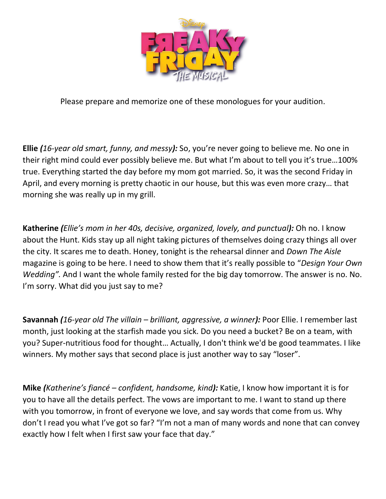

Please prepare and memorize one of these monologues for your audition.

**Ellie** *(16-year old smart, funny, and messy):* So, you're never going to believe me. No one in their right mind could ever possibly believe me. But what I'm about to tell you it's true…100% true. Everything started the day before my mom got married. So, it was the second Friday in April, and every morning is pretty chaotic in our house, but this was even more crazy… that morning she was really up in my grill.

**Katherine** *(Ellie's mom in her 40s, decisive, organized, lovely, and punctual):* Oh no. I know about the Hunt. Kids stay up all night taking pictures of themselves doing crazy things all over the city. It scares me to death. Honey, tonight is the rehearsal dinner and *Down The Aisle*  magazine is going to be here. I need to show them that it's really possible to "*Design Your Own Wedding".* And I want the whole family rested for the big day tomorrow. The answer is no. No. I'm sorry. What did you just say to me?

**Savannah** *(16-year old The villain – brilliant, aggressive, a winner):* Poor Ellie. I remember last month, just looking at the starfish made you sick. Do you need a bucket? Be on a team, with you? Super-nutritious food for thought… Actually, I don't think we'd be good teammates. I like winners. My mother says that second place is just another way to say "loser".

**Mike** *(Katherine's fiancé – confident, handsome, kind):* Katie, I know how important it is for you to have all the details perfect. The vows are important to me. I want to stand up there with you tomorrow, in front of everyone we love, and say words that come from us. Why don't I read you what I've got so far? "I'm not a man of many words and none that can convey exactly how I felt when I first saw your face that day."